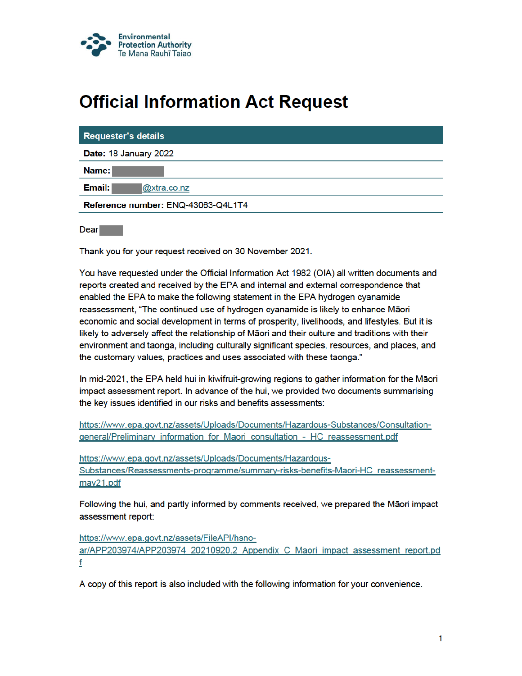

# **Official Information Act Request**

| Requester's details                |
|------------------------------------|
| Date: 18 January 2022              |
| Name:                              |
| Email:<br>@xtra.co.nz              |
| Reference number: ENQ-43063-Q4L1T4 |
|                                    |

Dear **Dear** 

Thank you for your request received on 30 November 2021.

You have requested under the Official Information Act 1982 (OIA) all written documents and reports created and received by the EPA and internal and external correspondence that enabled the EPA to make the following statement in the EPA hydrogen cyanamide reassessment, "The continued use of hydrogen cyanamide is likely to enhance Māori economic and social development in terms of prosperity, livelihoods, and lifestyles. But it is likely to adversely affect the relationship of Māori and their culture and traditions with their environment and taonga, including culturally significant species, resources, and places, and the customary values, practices and uses associated with these taonga."

In mid-2021, the EPA held hui in kiwifruit-growing regions to gather information for the Maori impact assessment report. In advance of the hui, we provided two documents summarising the key issues identified in our risks and benefits assessments:

https://www.epa.govt.nz/assets/Uploads/Documents/Hazardous-Substances/Consultationgeneral/Preliminary information for Maori consultation - HC reassessment.pdf

https://www.epa.govt.nz/assets/Uploads/Documents/Hazardous-Substances/Reassessments-programme/summary-risks-benefits-Maori-HC reassessmentmay21.pdf

Following the hui, and partly informed by comments received, we prepared the Māori impact assessment report:

https://www.epa.govt.nz/assets/FileAPI/hsnoar/APP203974/APP203974 20210920.2 Appendix C Maori impact assessment report.pd f

A copy of this report is also included with the following information for your convenience.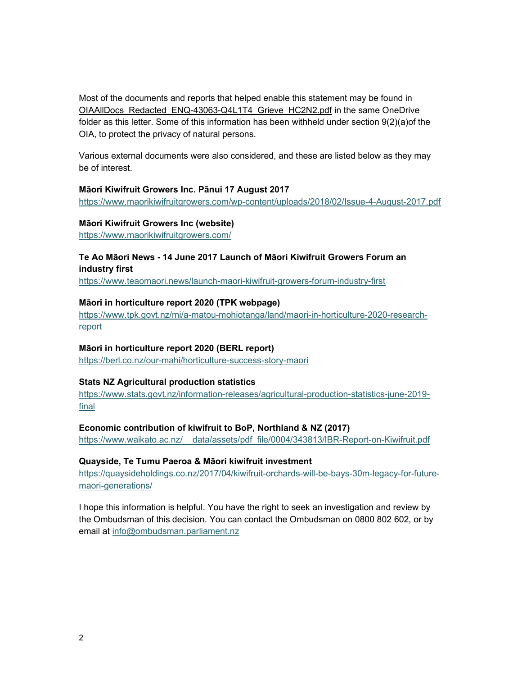Most of the documents and reports that helped enable this statement may be found in OIAAllDocs Redacted ENQ-43063-Q4L1T4 Grieve HC2N2.pdf in the same OneDrive folder as this letter. Some of this information has been withheld under section 9(2)(a)of the OIA, to protect the privacy of natural persons.

Various external documents were also considered, and these are listed below as they may be of interest.

#### Māori Kiwifruit Growers Inc. Pānui 17 August 2017

https://www.maorikiwifruitgrowers.com/wp-content/uploads/2018/02/Issue-4-August-2017.pdf

#### Māori Kiwifruit Growers Inc (website)

https://www.maorikiwifruitgrowers.com/

# Te Ao Māori News - 14 June 2017 Launch of Māori Kiwifruit Growers Forum an industry first

https://www.teaomaori.news/launch-maori-kiwifruit-growers-forum-industry-first

#### Māori in horticulture report 2020 (TPK webpage)

https://www.tpk.govt.nz/mi/a-matou-mohiotanga/land/maori-in-horticulture-2020-researchreport

## Māori in horticulture report 2020 (BERL report)

https://berl.co.nz/our-mahi/horticulture-success-story-maori

## Stats NZ Agricultural production statistics

https://www.stats.govt.nz/information-releases/agricultural-production-statistics-june-2019 final

## Economic contribution of kiwifruit to BoP, Northland & NZ (2017)

https://www.waikato.ac.nz/ data/assets/pdf file/0004/343813/IBR-Report-on-Kiwifruit.pdf

# Quayside, Te Tumu Paeroa & Māori kiwifruit investment

https://quaysideholdings.co.nz/2017/04/kiwifruit-orchards-will-be-bays-30m-legacy-for-futuremaori-generations/

I hope this information is helpful. You have the right to seek an investigation and review by the Ombudsman of this decision. You can contact the Ombudsman on 0800 802 602, or by email at info@ombudsman.parliament.nz